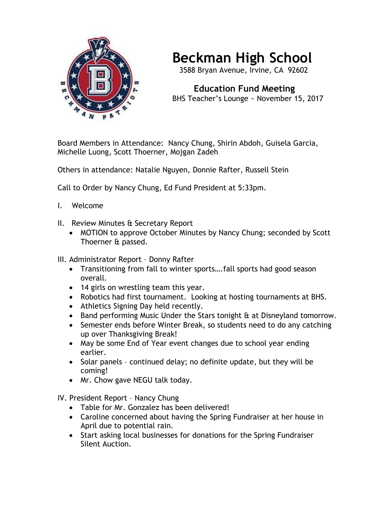

## **Beckman High School**

3588 Bryan Avenue, Irvine, CA 92602

 **Education Fund Meeting** BHS Teacher's Lounge ~ November 15, 2017

Board Members in Attendance: Nancy Chung, Shirin Abdoh, Guisela Garcia, Michelle Luong, Scott Thoerner, Mojgan Zadeh

Others in attendance: Natalie Nguyen, Donnie Rafter, Russell Stein

Call to Order by Nancy Chung, Ed Fund President at 5:33pm.

- I. Welcome
- II. Review Minutes & Secretary Report
	- MOTION to approve October Minutes by Nancy Chung; seconded by Scott Thoerner & passed.

III. Administrator Report – Donny Rafter

- Transitioning from fall to winter sports….fall sports had good season overall.
- 14 girls on wrestling team this year.
- Robotics had first tournament. Looking at hosting tournaments at BHS.
- Athletics Signing Day held recently.
- Band performing Music Under the Stars tonight & at Disneyland tomorrow.
- Semester ends before Winter Break, so students need to do any catching up over Thanksgiving Break!
- May be some End of Year event changes due to school year ending earlier.
- Solar panels continued delay; no definite update, but they will be coming!
- Mr. Chow gave NEGU talk today.

IV. President Report – Nancy Chung

- Table for Mr. Gonzalez has been delivered!
- Caroline concerned about having the Spring Fundraiser at her house in April due to potential rain.
- Start asking local businesses for donations for the Spring Fundraiser Silent Auction.